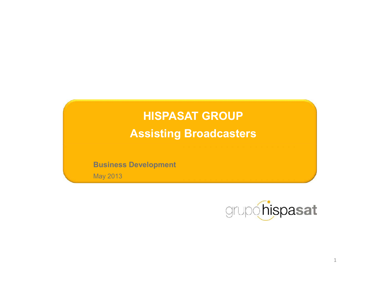# **HISPASAT GROUP Assisting Broadcasters**

Business Development

May 2013

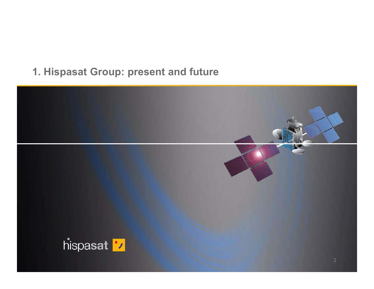### 1. Hispasat Group: present and future

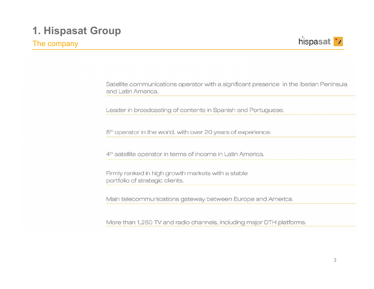#### The company



Satellite communications operator with a significant presence in the Iberian Peninsula and Latin America.

Leader in broadcasting of contents in Spanish and Portuguese.

8<sup>th</sup> operator in the world, with over 20 years of experience.

4<sup>th</sup> satellite operator in terms of income in Latin America.

Firmly ranked in high growth markets with a stable portfolio of strategic clients.

Main telecommunications gateway between Europe and America.

More than 1,250 TV and radio channels, including major DTH platforms.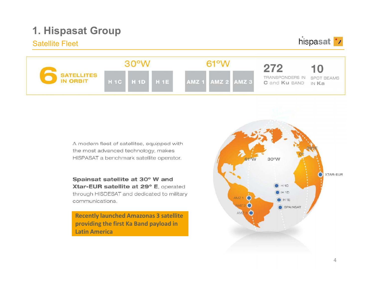#### Satellite Fleet

hispasat '/

| <b>SATELLITES</b><br><b>IN ORBIT</b> |  |                                                 |  |              |  |             |                                                   |  |
|--------------------------------------|--|-------------------------------------------------|--|--------------|--|-------------|---------------------------------------------------|--|
|                                      |  | H <sub>1C</sub> H <sub>1D</sub> H <sub>1E</sub> |  | <b>AMZ 1</b> |  | AMZ 2 AMZ 3 | TRANSPONDERS IN SPOT BEAMS<br>C and Ku BAND IN Ka |  |

A modern fleet of satellites, equipped with the most advanced technology, makes HISPASAT a benchmark satellite operator.

Spainsat satellite at 30° W and Xtar-EUR satellite at 29° E, operated through HISDESAT and dedicated to military communications.

**Recently launched Amazonas 3 satellite**  Latin America

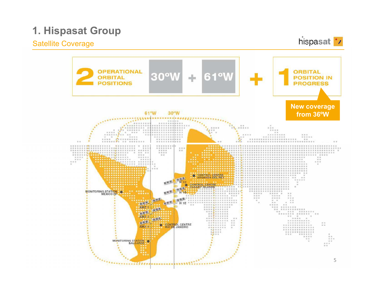### **Satellite Coverage**

hispasat '/

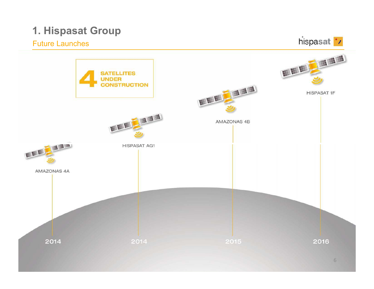#### Future Launches

hispasat '/

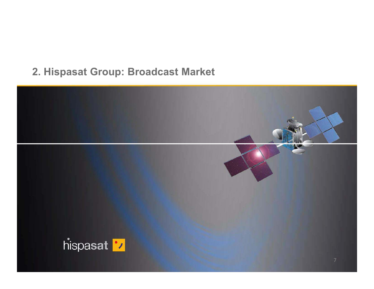### 2. Hispasat Group: Broadcast Market

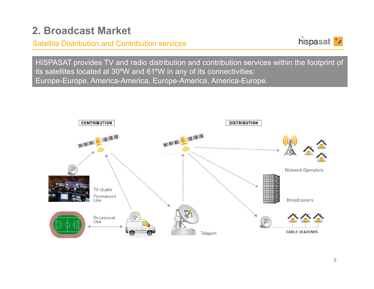#### Satellite Distribution and Contribution services



HISPASAT provides TV and radio distribution and contribution services within the footprint of its satellites located at 30ºW and 61ºW in any of its connectivities: Europe-Europe, America-America, Europe-America, America-Europe.

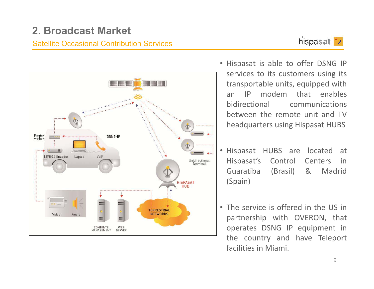#### **Satellite Occasional Contribution Services**





- . Hispasat is able to offer DSNG IP services to its customers using its transportable units, equipped with  $IP$ modem that enables  $an$ hidirectional communications between the remote unit and TV headquarters using Hispasat HUBS
- Hispasat HUBS are located at Hispasat's Control Centers in Guaratiba (Brasil)  $8<sub>l</sub>$ Madrid (Spain)
- The service is offered in the US in partnership with OVERON, that operates DSNG IP equipment in the country and have Teleport facilities in Miami.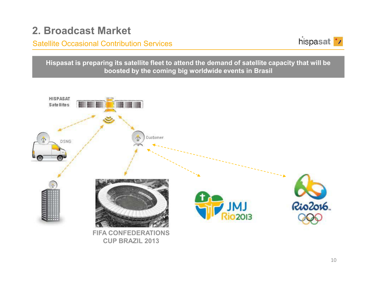Satellite Occasional Contribution Services



**Hispasat is preparing its satellite fleet to attend the demand of satellite capacity that will be boosted by the coming big worldwide events in Brasil**

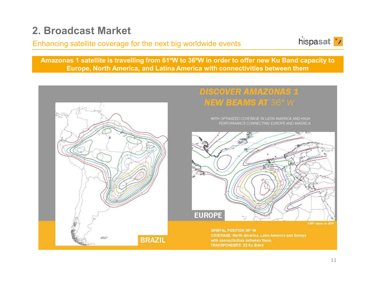### Enhancing satellite coverage for the next big worldwide events



**Amazonas 1 satellite is travelling from 61ºW to 36ºW in order to offer new Ku Band capacity to Europe, North America, and Latina America with connectivities between them**

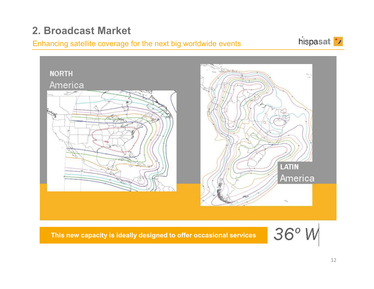#### Enhancing satellite coverage for the next big worldwide events





**This new capacity is ideally designed to offer occasional services**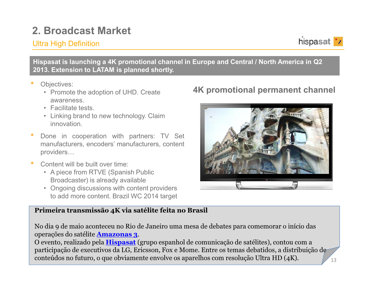### **Ultra High Definition**



Hispasat is launching a 4K promotional channel in Europe and Central / North America in Q2 2013. Extension to LATAM is planned shortly.

- Objectives:
	- Promote the adoption of UHD. Create awareness.
	- Facilitate tests.
	- Linking brand to new technology. Claim innovation.
- Done in cooperation with partners: TV Set manufacturers, encoders' manufacturers, content providers...
- Content will be built over time:
	- A piece from RTVE (Spanish Public Broadcaster) is already available
	- Ongoing discussions with content providers to add more content. Brazil WC 2014 target

### **4K promotional permanent channel**



#### Primeira transmissão 4K via satélite feita no Brasil

No dia 9 de maio aconteceu no Rio de Janeiro uma mesa de debates para comemorar o início das operações do satélite **Amazonas 3**.

O evento, realizado pela **Hispasat** (grupo espanhol de comunicação de satélites), contou com a participação de executivos da LG, Ericsson, Fox e Mome. Entre os temas debatidos, a distribuição de conteúdos no futuro, o que obviamente envolve os aparelhos com resolução Ultra HD  $(4K)$ .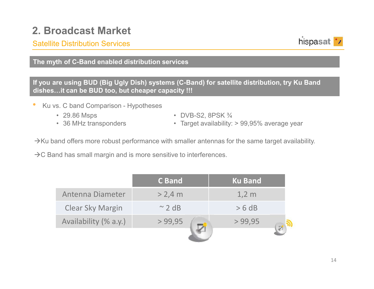#### Satellite Distribution Services



#### **The myth of C-Band enabled distribution services**

**If you are using BUD (Big Ugly Dish) systems (C-Band) for satellite distribution, try Ku Band dishes…it can be BUD too, but cheaper capacity !!!**

- • Ku vs. C band Comparison - Hypotheses
	- 29.86 Msps
	- 36 MHz transponders
- $\bullet$  DVB-S2, 8PSK  $\frac{3}{4}$
- Target availability: > 99,95% average year

 $\rightarrow$ Ku band offers more robust performance with smaller antennas for the same target availability.

 $\rightarrow$ C Band has small margin and is more sensitive to interferences.

|                         | <b>C Band</b> | <b>Ku Band</b> |  |
|-------------------------|---------------|----------------|--|
| Antenna Diameter        | $> 2,4$ m     | $1,2 \, m$     |  |
| <b>Clear Sky Margin</b> | $\sim$ 2 dB   | > 6 dB         |  |
| Availability (% a.y.)   | > 99,95       | > 99,95        |  |
|                         |               |                |  |